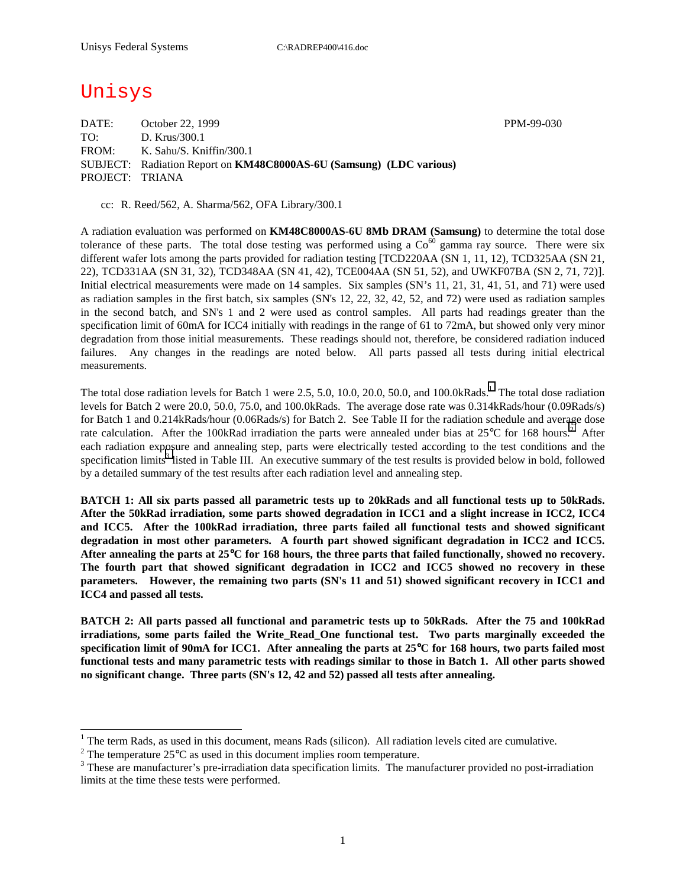## Unisys

DATE: October 22, 1999 PPM-99-030 TO: D. Krus/300.1 FROM: K. Sahu/S. Kniffin/300.1 SUBJECT: Radiation Report on **KM48C8000AS-6U (Samsung) (LDC various)** PROJECT: TRIANA

cc: R. Reed/562, A. Sharma/562, OFA Library/300.1

A radiation evaluation was performed on **KM48C8000AS-6U 8Mb DRAM (Samsung)** to determine the total dose tolerance of these parts. The total dose testing was performed using a  $Co<sup>60</sup>$  gamma ray source. There were six different wafer lots among the parts provided for radiation testing [TCD220AA (SN 1, 11, 12), TCD325AA (SN 21, 22), TCD331AA (SN 31, 32), TCD348AA (SN 41, 42), TCE004AA (SN 51, 52), and UWKF07BA (SN 2, 71, 72)]. Initial electrical measurements were made on 14 samples. Six samples (SN's 11, 21, 31, 41, 51, and 71) were used as radiation samples in the first batch, six samples (SN's 12, 22, 32, 42, 52, and 72) were used as radiation samples in the second batch, and SN's 1 and 2 were used as control samples. All parts had readings greater than the specification limit of 60mA for ICC4 initially with readings in the range of 61 to 72mA, but showed only very minor degradation from those initial measurements. These readings should not, therefore, be considered radiation induced failures. Any changes in the readings are noted below. All parts passed all tests during initial electrical measurements.

The total dose radiation levels for Batch 1 were 2.5, 5.0, 10.0, 20.0, 50.0, and 100.0kRads.<sup>1</sup> The total dose radiation levels for Batch 2 were 20.0, 50.0, 75.0, and 100.0kRads. The average dose rate was 0.314kRads/hour (0.09Rads/s) for Batch 1 and 0.214kRads/hour (0.06Rads/s) for Batch 2. See Table II for the radiation schedule and average dose rate calculation. After the 100kRad irradiation the parts were annealed under bias at  $25^{\circ}$ C for 168 hours.<sup>2</sup> After each radiation exposure and annealing step, parts were electrically tested according to the test conditions and the specification limits<sup>3</sup> listed in Table III. An executive summary of the test results is provided below in bold, followed by a detailed summary of the test results after each radiation level and annealing step.

**BATCH 1: All six parts passed all parametric tests up to 20kRads and all functional tests up to 50kRads. After the 50kRad irradiation, some parts showed degradation in ICC1 and a slight increase in ICC2, ICC4 and ICC5. After the 100kRad irradiation, three parts failed all functional tests and showed significant degradation in most other parameters. A fourth part showed significant degradation in ICC2 and ICC5. After annealing the parts at 25**°**C for 168 hours, the three parts that failed functionally, showed no recovery. The fourth part that showed significant degradation in ICC2 and ICC5 showed no recovery in these parameters. However, the remaining two parts (SN's 11 and 51) showed significant recovery in ICC1 and ICC4 and passed all tests.** 

**BATCH 2: All parts passed all functional and parametric tests up to 50kRads. After the 75 and 100kRad irradiations, some parts failed the Write\_Read\_One functional test. Two parts marginally exceeded the specification limit of 90mA for ICC1. After annealing the parts at 25**°**C for 168 hours, two parts failed most functional tests and many parametric tests with readings similar to those in Batch 1. All other parts showed no significant change. Three parts (SN's 12, 42 and 52) passed all tests after annealing.** 

1

<sup>&</sup>lt;sup>1</sup> The term Rads, as used in this document, means Rads (silicon). All radiation levels cited are cumulative.

<sup>&</sup>lt;sup>2</sup> The temperature 25 $^{\circ}$ C as used in this document implies room temperature.  $^3$  These are manufacturer's are irrediction date apositionism limits. The manufacturer's

<sup>&</sup>lt;sup>3</sup> These are manufacturer's pre-irradiation data specification limits. The manufacturer provided no post-irradiation limits at the time these tests were performed.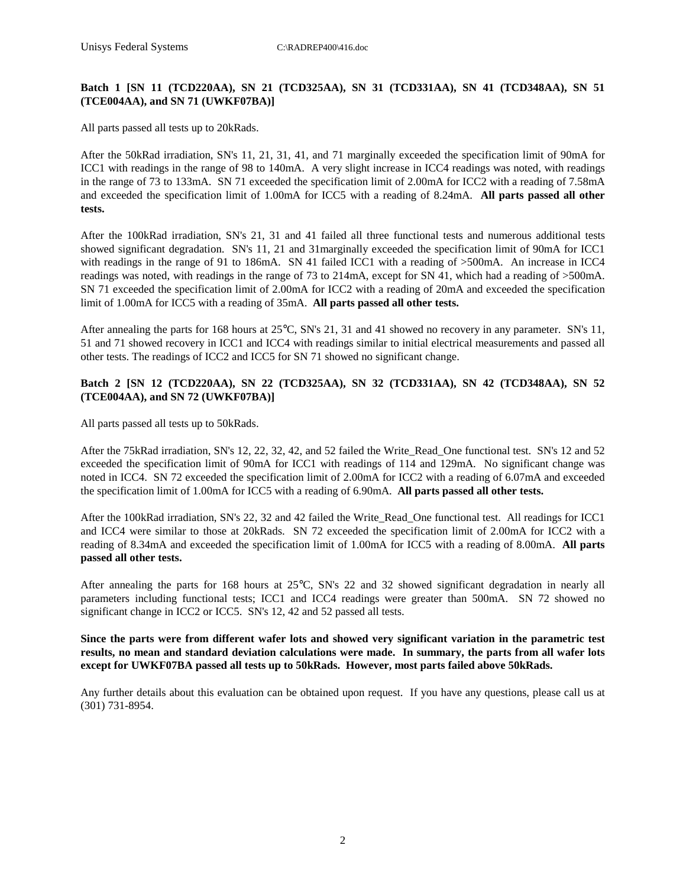#### **Batch 1 [SN 11 (TCD220AA), SN 21 (TCD325AA), SN 31 (TCD331AA), SN 41 (TCD348AA), SN 51 (TCE004AA), and SN 71 (UWKF07BA)]**

All parts passed all tests up to 20kRads.

After the 50kRad irradiation, SN's 11, 21, 31, 41, and 71 marginally exceeded the specification limit of 90mA for ICC1 with readings in the range of 98 to 140mA. A very slight increase in ICC4 readings was noted, with readings in the range of 73 to 133mA. SN 71 exceeded the specification limit of 2.00mA for ICC2 with a reading of 7.58mA and exceeded the specification limit of 1.00mA for ICC5 with a reading of 8.24mA. **All parts passed all other tests.**

After the 100kRad irradiation, SN's 21, 31 and 41 failed all three functional tests and numerous additional tests showed significant degradation. SN's 11, 21 and 31marginally exceeded the specification limit of 90mA for ICC1 with readings in the range of 91 to 186mA. SN 41 failed ICC1 with a reading of >500mA. An increase in ICC4 readings was noted, with readings in the range of 73 to 214mA, except for SN 41, which had a reading of >500mA. SN 71 exceeded the specification limit of 2.00mA for ICC2 with a reading of 20mA and exceeded the specification limit of 1.00mA for ICC5 with a reading of 35mA. **All parts passed all other tests.**

After annealing the parts for 168 hours at 25°C, SN's 21, 31 and 41 showed no recovery in any parameter. SN's 11, 51 and 71 showed recovery in ICC1 and ICC4 with readings similar to initial electrical measurements and passed all other tests. The readings of ICC2 and ICC5 for SN 71 showed no significant change.

#### **Batch 2 [SN 12 (TCD220AA), SN 22 (TCD325AA), SN 32 (TCD331AA), SN 42 (TCD348AA), SN 52 (TCE004AA), and SN 72 (UWKF07BA)]**

All parts passed all tests up to 50kRads.

After the 75kRad irradiation, SN's 12, 22, 32, 42, and 52 failed the Write\_Read\_One functional test. SN's 12 and 52 exceeded the specification limit of 90mA for ICC1 with readings of 114 and 129mA. No significant change was noted in ICC4. SN 72 exceeded the specification limit of 2.00mA for ICC2 with a reading of 6.07mA and exceeded the specification limit of 1.00mA for ICC5 with a reading of 6.90mA. **All parts passed all other tests.**

After the 100kRad irradiation, SN's 22, 32 and 42 failed the Write\_Read\_One functional test. All readings for ICC1 and ICC4 were similar to those at 20kRads. SN 72 exceeded the specification limit of 2.00mA for ICC2 with a reading of 8.34mA and exceeded the specification limit of 1.00mA for ICC5 with a reading of 8.00mA. **All parts passed all other tests.**

After annealing the parts for 168 hours at 25°C, SN's 22 and 32 showed significant degradation in nearly all parameters including functional tests; ICC1 and ICC4 readings were greater than 500mA. SN 72 showed no significant change in ICC2 or ICC5. SN's 12, 42 and 52 passed all tests.

**Since the parts were from different wafer lots and showed very significant variation in the parametric test results, no mean and standard deviation calculations were made. In summary, the parts from all wafer lots except for UWKF07BA passed all tests up to 50kRads. However, most parts failed above 50kRads.** 

Any further details about this evaluation can be obtained upon request. If you have any questions, please call us at (301) 731-8954.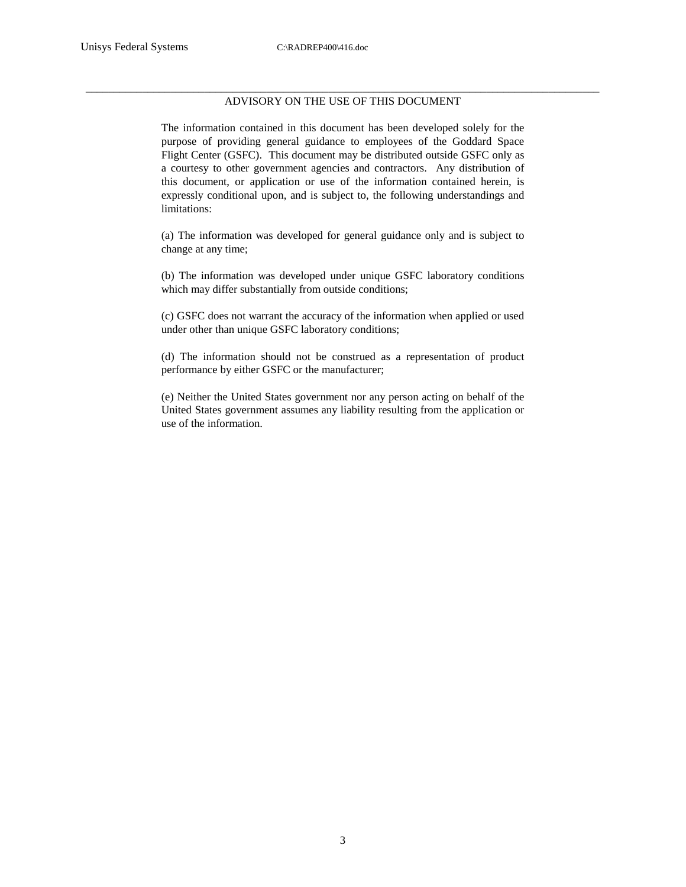#### \_\_\_\_\_\_\_\_\_\_\_\_\_\_\_\_\_\_\_\_\_\_\_\_\_\_\_\_\_\_\_\_\_\_\_\_\_\_\_\_\_\_\_\_\_\_\_\_\_\_\_\_\_\_\_\_\_\_\_\_\_\_\_\_\_\_\_\_\_\_\_\_\_\_\_\_\_\_\_\_\_\_\_\_\_\_\_\_\_\_\_ ADVISORY ON THE USE OF THIS DOCUMENT

The information contained in this document has been developed solely for the purpose of providing general guidance to employees of the Goddard Space Flight Center (GSFC). This document may be distributed outside GSFC only as a courtesy to other government agencies and contractors. Any distribution of this document, or application or use of the information contained herein, is expressly conditional upon, and is subject to, the following understandings and limitations:

(a) The information was developed for general guidance only and is subject to change at any time;

(b) The information was developed under unique GSFC laboratory conditions which may differ substantially from outside conditions;

(c) GSFC does not warrant the accuracy of the information when applied or used under other than unique GSFC laboratory conditions;

(d) The information should not be construed as a representation of product performance by either GSFC or the manufacturer;

(e) Neither the United States government nor any person acting on behalf of the United States government assumes any liability resulting from the application or use of the information.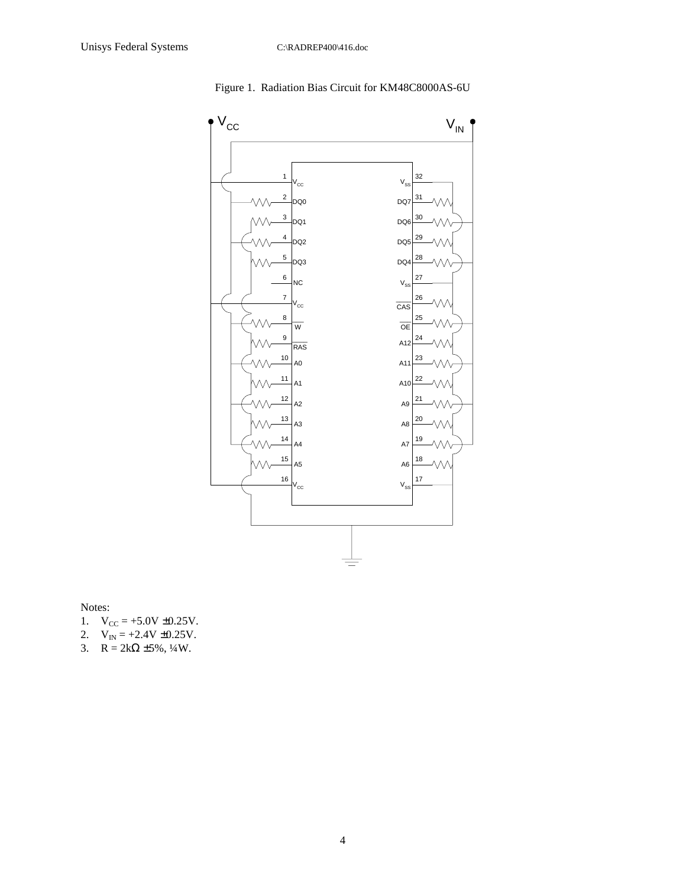



Notes:

- 1.  $V_{CC} = +5.0V \pm 0.25V$ .
- 2.  $V_{IN} = +2.4V \pm 0.25V$ .
- 3.  $R = 2k\Omega \pm 5\%, \frac{1}{4}W$ .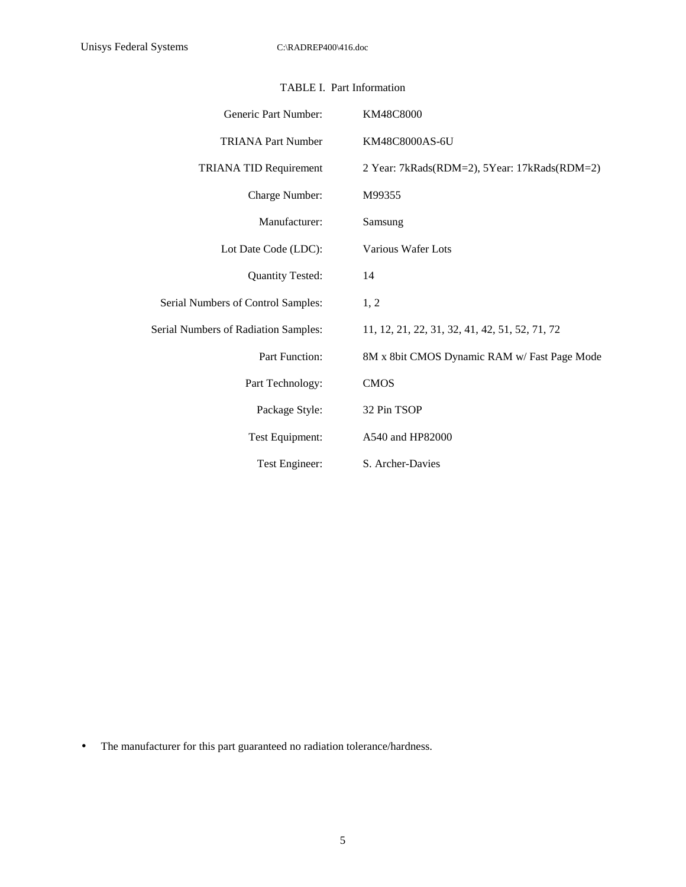| Generic Part Number:                 | KM48C8000                                      |
|--------------------------------------|------------------------------------------------|
| <b>TRIANA Part Number</b>            | KM48C8000AS-6U                                 |
| <b>TRIANA TID Requirement</b>        | 2 Year: 7kRads(RDM=2), 5Year: 17kRads(RDM=2)   |
| Charge Number:                       | M99355                                         |
| Manufacturer:                        | Samsung                                        |
| Lot Date Code (LDC):                 | <b>Various Wafer Lots</b>                      |
| <b>Quantity Tested:</b>              | 14                                             |
| Serial Numbers of Control Samples:   | 1, 2                                           |
| Serial Numbers of Radiation Samples: | 11, 12, 21, 22, 31, 32, 41, 42, 51, 52, 71, 72 |
| Part Function:                       | 8M x 8bit CMOS Dynamic RAM w/ Fast Page Mode   |
| Part Technology:                     | <b>CMOS</b>                                    |
| Package Style:                       | 32 Pin TSOP                                    |
| Test Equipment:                      | A540 and HP82000                               |
| Test Engineer:                       | S. Archer-Davies                               |

#### TABLE I. Part Information

• The manufacturer for this part guaranteed no radiation tolerance/hardness.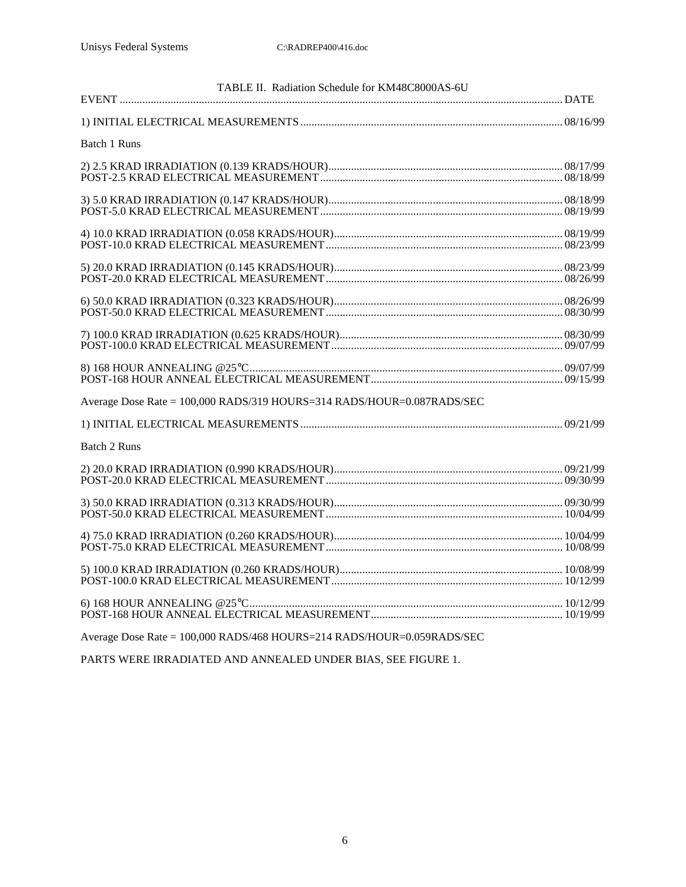| TABLE II. Radiation Schedule for KM48C8000AS-6U                        |  |
|------------------------------------------------------------------------|--|
|                                                                        |  |
|                                                                        |  |
| <b>Batch 1 Runs</b>                                                    |  |
|                                                                        |  |
|                                                                        |  |
|                                                                        |  |
|                                                                        |  |
|                                                                        |  |
|                                                                        |  |
|                                                                        |  |
| Average Dose Rate = 100,000 RADS/319 HOURS=314 RADS/HOUR=0.087RADS/SEC |  |
|                                                                        |  |
| <b>Batch 2 Runs</b>                                                    |  |
|                                                                        |  |
|                                                                        |  |
|                                                                        |  |
|                                                                        |  |
|                                                                        |  |
| Average Dose Rate = 100,000 RADS/468 HOURS=214 RADS/HOUR=0.059RADS/SEC |  |

PARTS WERE IRRADIATED AND ANNEALED UNDER BIAS, SEE FIGURE 1.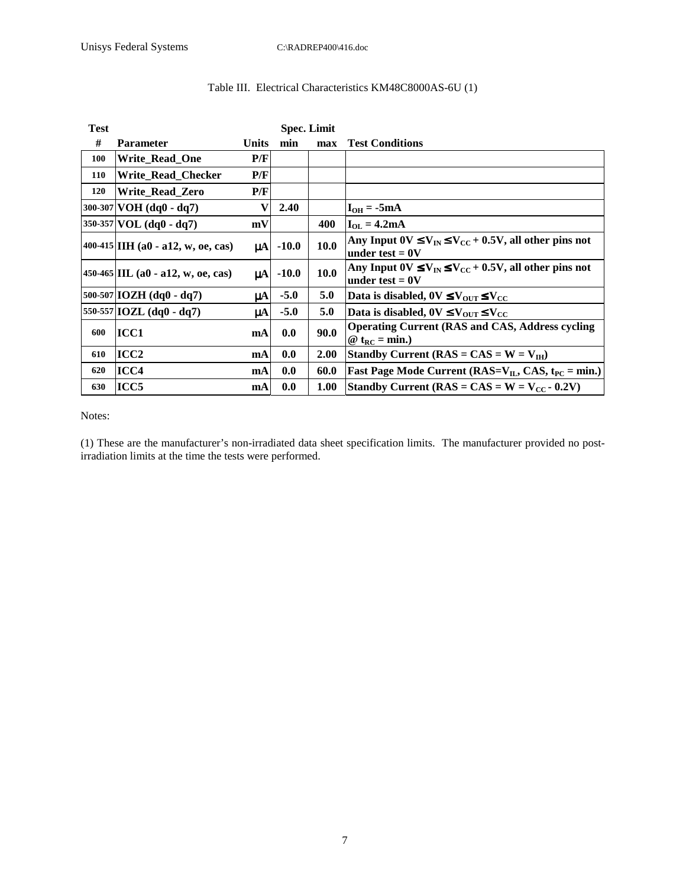| <b>Test</b> |                                           | <b>Spec. Limit</b> |         |             |                                                                                       |
|-------------|-------------------------------------------|--------------------|---------|-------------|---------------------------------------------------------------------------------------|
| #           | <b>Parameter</b>                          | Units              | min     | max         | <b>Test Conditions</b>                                                                |
| 100         | Write_Read_One                            | P/F                |         |             |                                                                                       |
| 110         | Write_Read_Checker                        | P/F                |         |             |                                                                                       |
| 120         | Write Read Zero                           | P/F                |         |             |                                                                                       |
|             | $300-307$ VOH (dq0 - dq7)                 | V                  | 2.40    |             | $I_{OH} = -5mA$                                                                       |
|             | $350-357$ VOL (dq0 - dq7)                 | mV                 |         | 400         | $I_{OL} = 4.2mA$                                                                      |
|             | 400-415 <b>IIH</b> (a0 - a12, w, oe, cas) | $\mu$ A            | $-10.0$ | <b>10.0</b> | Any Input $0V \le V_{IN} \le V_{CC} + 0.5V$ , all other pins not<br>under test $=0$ V |
|             | 450-465 IIL (a0 - a12, w, oe, cas)        | $\mu$ A            | $-10.0$ | <b>10.0</b> | Any Input $0V \le V_{IN} \le V_{CC} + 0.5V$ , all other pins not<br>under test $= 0V$ |
|             | $500-507$ [IOZH (dq0 - dq7)               | μA                 | $-5.0$  | 5.0         | Data is disabled, $0V \leq V_{\text{OUT}} \leq V_{\text{CC}}$                         |
|             | 550-557 IOZL $(dq0 - dq7)$                | $\mu$ A            | $-5.0$  | 5.0         | Data is disabled, $0V \leq V_{\text{OUT}} \leq V_{\text{CC}}$                         |
| 600         | ICC1                                      | mA                 | 0.0     | 90.0        | <b>Operating Current (RAS and CAS, Address cycling)</b><br>@ $t_{RC} = min.$          |
| 610         | ICC <sub>2</sub>                          | mA                 | 0.0     | <b>2.00</b> | Standby Current ( $RAS = CAS = W = V_{IH}$ )                                          |
| 620         | ICC4                                      | mA                 | 0.0     | 60.0        | <b>Fast Page Mode Current (RAS=V<sub>IL</sub>, CAS, t<sub>PC</sub> = min.)</b>        |
| 630         | ICC <sub>5</sub>                          | mA                 | 0.0     | 1.00        | Standby Current ( $RAS = CAS = W = V_{CC} - 0.2V$ )                                   |

### Table III. Electrical Characteristics KM48C8000AS-6U (1)

Notes:

(1) These are the manufacturer's non-irradiated data sheet specification limits. The manufacturer provided no postirradiation limits at the time the tests were performed.